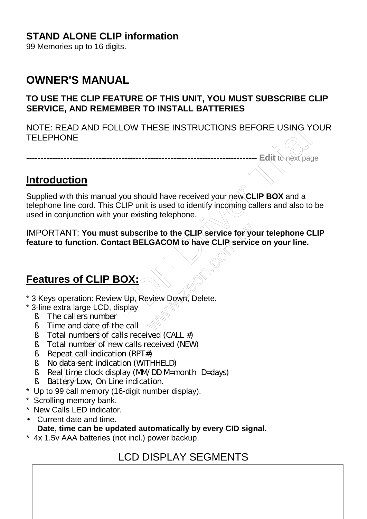### **STAND ALONE CLIP information**

99 Memories up to 16 digits.

# **OWNER'S MANUAL**

#### **TO USE THE CLIP FEATURE OF THIS UNIT, YOU MUST SUBSCRIBE CLIP SERVICE, AND REMEMBER TO INSTALL BATTERIES**

NOTE: READ AND FOLLOW THESE INSTRUCTIONS BEFORE USING YOUR **TELEPHONE** 

**-------------------------------------------------------------------------------- Edit** to next page

### **Introduction**

Supplied with this manual you should have received your new **CLIP BOX** and a telephone line cord. This CLIP unit is used to identify incoming callers and also to be used in conjunction with your existing telephone. E: READ AND FOLLOW THESE INSTRUCTIONS BEFORE USING YOURNE<br>
PHONE<br>
CONSECTIONS<br>
CONSECTIONS<br>
CONSECTIONS<br>
CONSECTIONS<br>
CONSECTIONS<br>
INTENT: You must subscribe to the CLIP service for your telephone CLIP<br>
RTANT: You must sub

IMPORTANT: **You must subscribe to the CLIP service for your telephone CLIP feature to function. Contact BELGACOM to have CLIP service on your line.**  ibe to the CLIP service for your<br>CACOM to have CLIP service<br>wiew Down, Delete.

# **Features of CLIP BOX:**

- \* 3 Keys operation: Review Up, Review Down, Delete.
- \* 3-line extra large LCD, display
	- § The callers number
	- $\acute{A}$  Time and date of the call
	- $\acute{A}$  Total numbers of calls received (CALL #)
	- § Total number of new calls received (NEW)
	- $\acute{A}$  Repeat call indication (RPT#)
	- § No data sent indication (WITHHELD)
	- $\hat{A}$  Real time clock display (MM/DD M=month D=days)
	- § Battery Low, On Line indication.
- \* Up to 99 call memory (16-digit number display).
- \* Scrolling memory bank.
- \* New Calls LED indicator.
- Current date and time. **Date, time can be updated automatically by every CID signal.**
- \* 4x 1.5v AAA batteries (not incl.) power backup.

# LCD DISPLAY SEGMENTS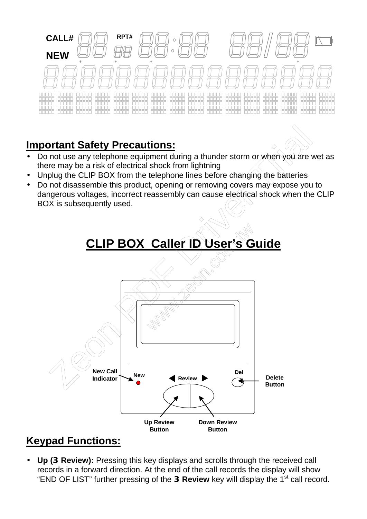

# **Important Safety Precautions:**

- Do not use any telephone equipment during a thunder storm or when you are wet as there may be a risk of electrical shock from lightning
- Unplug the CLIP BOX from the telephone lines before changing the batteries
- Do not disassemble this product, opening or removing covers may expose you to dangerous voltages, incorrect reassembly can cause electrical shock when the CLIP BOX is subsequently used.



# **Keypad Functions:**

• Up (DReview): Pressing this key displays and scrolls through the received call records in a forward direction. At the end of the call records the display will show "END OF LIST" further pressing of the **DReview** key will display the 1<sup>st</sup> call record.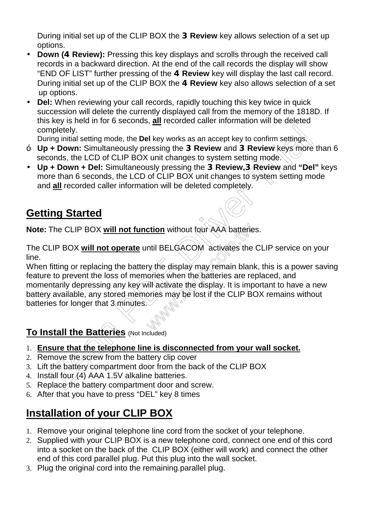During initial set up of the CLIP BOX the **3Review** key allows selection of a set up options.

- **Down (E Review):** Pressing this key displays and scrolls through the received call records in a backward direction. At the end of the call records the display will show "END OF LIST" further pressing of the **E Review** key will display the last call record. During initial set up of the CLIP BOX the **E Review** key also allows selection of a set up options.
- **Del:** When reviewing your call records, rapidly touching this key twice in quick succession will delete the currently displayed call from the memory of the 1818D. If this key is held in for 6 seconds, **all** recorded caller information will be deleted completely.

During initial setting mode, the **Del** key works as an accept key to confirm settings.

- **Up + Down:** Simultaneously pressing the **3Review** and **3Review** keys more than 6 seconds, the LCD of CLIP BOX unit changes to system setting mode.
- **Up + Down + Del:** Simultaneously pressing the **3Review,3Review** and **"Del"** keys more than 6 seconds, the LCD of CLIP BOX unit changes to system setting mode and **all** recorded caller information will be deleted completely.

# **Getting Started**

**Note:** The CLIP BOX **will not function** without four AAA batteries.

The CLIP BOX **will not operate** until BELGACOM activates the CLIP service on your line.

When fitting or replacing the battery the display may remain blank, this is a power saving feature to prevent the loss of memories when the batteries are replaced, and momentarily depressing any key will activate the display. It is important to have a new battery available, any stored memories may be lost if the CLIP BOX remains without batteries for longer that  $3$  minutes. mpletely.<br>
Impletely.<br>
The install setting mode, the Del key works as an accept key to confirm setting<br>
in + Down : Simultaneously pressing the DReview and DReview keys more<br>  $\rightarrow$  Down : Simultaneously pressing the DReview ction without four AAA batteries<br>
ntil BELGACOM activates the<br>
ry the display may femain blan<br>
ories when the batteries are re<br>
ill activate the display. It is imp<br>
ories may be lost if the CLIP BO

# **To Install the Batteries** (Not Included)

- 1. **Ensure that the telephone line is disconnected from your wall socket.**
- 2. Remove the screw from the battery clip cover
- 3. Lift the battery compartment door from the back of the CLIP BOX
- 4. Install four  $(4)$  AAA 1.5V alkaline batteries.
- 5. Replace the battery compartment door and screw.
- 6. After that you have to press "DEL" key 8 times

# **Installation of your CLIP BOX**

- 1. Remove your original telephone line cord from the socket of your telephone.
- 2. Supplied with your CLIP BOX is a new telephone cord, connect one end of this cord into a socket on the back of the CLIP BOX (either will work) and connect the other end of this cord parallel plug. Put this plug into the wall socket.
- 3. Plug the original cord into the remaining.parallel plug.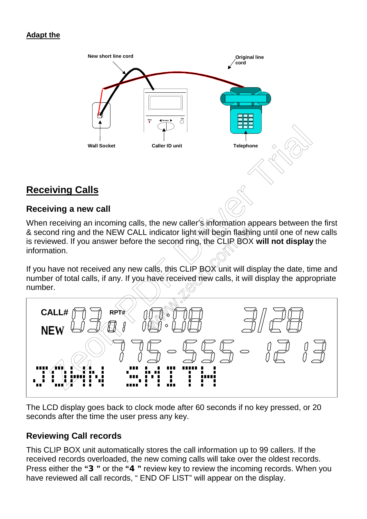#### **Adapt the**



### **Receiving Calls**

#### **Receiving a new call**

When receiving an incoming calls, the new caller's information appears between the first & second ring and the NEW CALL indicator light will begin flashing until one of new calls is reviewed. If you answer before the second ring, the CLIP BOX **will not display** the information.

If you have not received any new calls, this CLIP  $BQX$  unit will display the date, time and number of total calls, if any. If you have received new calls, it will display the appropriate number.



The LCD display goes back to clock mode after 60 seconds if no key pressed, or 20 seconds after the time the user press any key.

#### **Reviewing Call records**

This CLIP BOX unit automatically stores the call information up to 99 callers. If the received records overloaded, the new coming calls will take over the oldest records. Press either the **"3"** or the **"4"** review key to review the incoming records. When you have reviewed all call records, " END OF LIST" will appear on the display.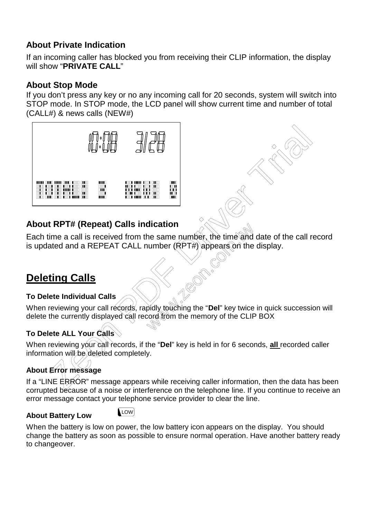#### **About Private Indication**

If an incoming caller has blocked you from receiving their CLIP information, the display will show "**PRIVATE CALL**"

#### **About Stop Mode**

If you don't press any key or no any incoming call for 20 seconds, system will switch into STOP mode. In STOP mode, the LCD panel will show current time and number of total (CALL#) & news calls (NEW#)





### **About RPT# (Repeat) Calls indication**

Each time a call is received from the same number, the time and date of the call record is updated and a REPEAT CALL number  $(\overrightarrow{RPTH})$  appears on the display. alcation<br>
The same number, the time and<br>
umber (RPT#) appears on the<br>
spidly rouching the "Del" key twice<br>
cord from the memory of the CLIF

# **Deleting Calls**

#### **To Delete Individual Calls**

When reviewing your call records, rapidly touching the "**Del**" key twice in quick succession will delete the currently displayed call record to the memory of the CLIP BOX

#### **To Delete ALL Your Calls**

When reviewing your call records, if the "Del" key is held in for 6 seconds, all recorded caller information will be deleted completely.

# **About Error message**

If a "LINE  $E R$  $60R$ " message appears while receiving caller information, then the data has been corrupted because of a noise or interference on the telephone line. If you continue to receive an error message contact your telephone service provider to clear the line.

#### **About Battery Low**

**LOW** 

When the battery is low on power, the low battery icon appears on the display. You should change the battery as soon as possible to ensure normal operation. Have another battery ready to changeover.